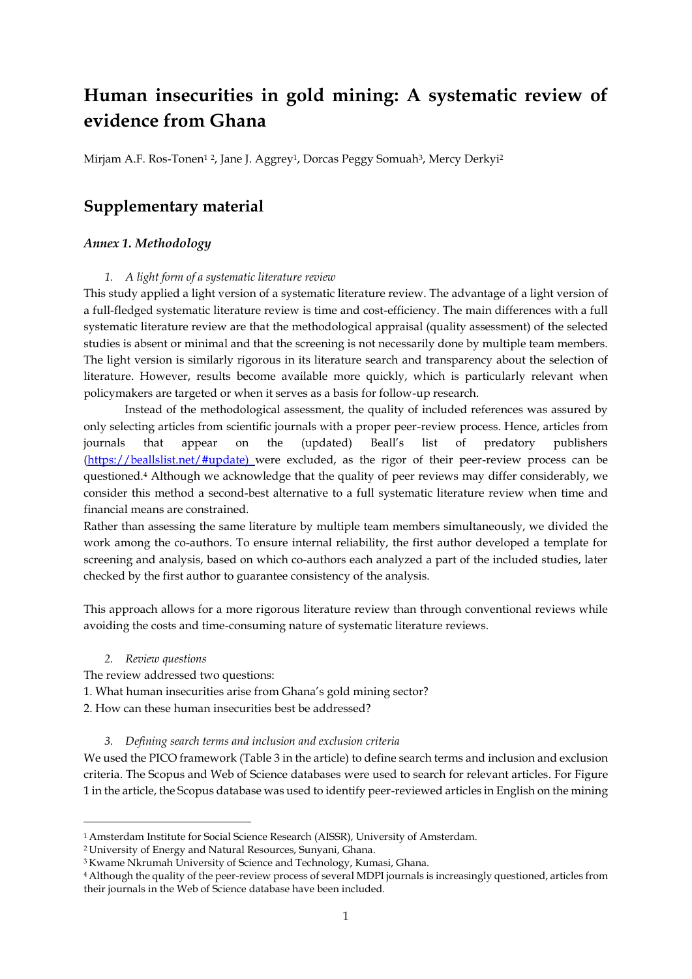# **Human insecurities in gold mining: A systematic review of evidence from Ghana**

Mirjam A.F. Ros-Tonen<sup>12</sup>, Jane J. Aggrey<sup>1</sup>, Dorcas Peggy Somuah<sup>3</sup>, Mercy Derkyi<sup>2</sup>

### **Supplementary material**

#### *Annex 1. Methodology*

#### *1. A light form of a systematic literature review*

This study applied a light version of a systematic literature review. The advantage of a light version of a full-fledged systematic literature review is time and cost-efficiency. The main differences with a full systematic literature review are that the methodological appraisal (quality assessment) of the selected studies is absent or minimal and that the screening is not necessarily done by multiple team members. The light version is similarly rigorous in its literature search and transparency about the selection of literature. However, results become available more quickly, which is particularly relevant when policymakers are targeted or when it serves as a basis for follow-up research.

Instead of the methodological assessment, the quality of included references was assured by only selecting articles from scientific journals with a proper peer-review process. Hence, articles from journals that appear on the (updated) Beall's list of predatory publishers [\(https://beallslist.net/#update\)](https://beallslist.net/#update) were excluded, as the rigor of their peer-review process can be questioned.<sup>4</sup> Although we acknowledge that the quality of peer reviews may differ considerably, we consider this method a second-best alternative to a full systematic literature review when time and financial means are constrained.

Rather than assessing the same literature by multiple team members simultaneously, we divided the work among the co-authors. To ensure internal reliability, the first author developed a template for screening and analysis, based on which co-authors each analyzed a part of the included studies, later checked by the first author to guarantee consistency of the analysis.

This approach allows for a more rigorous literature review than through conventional reviews while avoiding the costs and time-consuming nature of systematic literature reviews.

*2. Review questions*

The review addressed two questions:

- 1. What human insecurities arise from Ghana's gold mining sector?
- 2. How can these human insecurities best be addressed?

#### *3. Defining search terms and inclusion and exclusion criteria*

We used the PICO framework (Table 3 in the article) to define search terms and inclusion and exclusion criteria. The Scopus and Web of Science databases were used to search for relevant articles. For Figure 1 in the article, the Scopus database was used to identify peer-reviewed articles in English on the mining

<sup>1</sup> Amsterdam Institute for Social Science Research (AISSR), University of Amsterdam.

<sup>2</sup> University of Energy and Natural Resources, Sunyani, Ghana.

<sup>&</sup>lt;sup>3</sup> Kwame Nkrumah University of Science and Technology, Kumasi, Ghana.

<sup>4</sup>Although the quality of the peer-review process of several MDPI journals is increasingly questioned, articles from their journals in the Web of Science database have been included.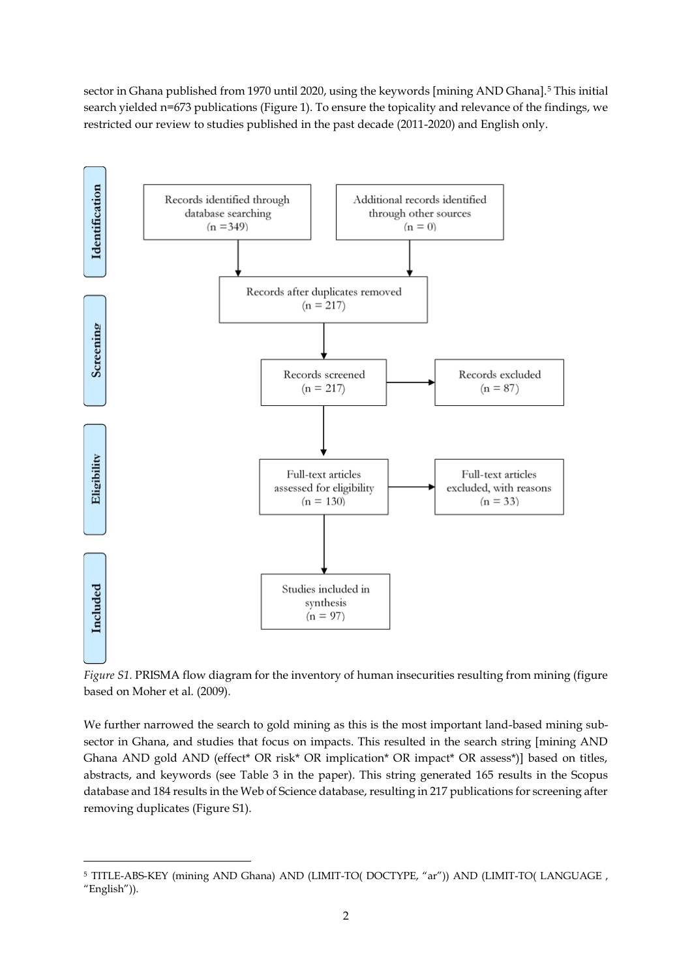sector in Ghana published from 1970 until 2020, using the keywords [mining AND Ghana].<sup>5</sup> This initial search yielded n=673 publications (Figure 1). To ensure the topicality and relevance of the findings, we restricted our review to studies published in the past decade (2011-2020) and English only.



*Figure S1.* PRISMA flow diagram for the inventory of human insecurities resulting from mining (figure based on Moher et al. (2009).

We further narrowed the search to gold mining as this is the most important land-based mining subsector in Ghana, and studies that focus on impacts. This resulted in the search string [mining AND Ghana AND gold AND (effect\* OR risk\* OR implication\* OR impact\* OR assess\*)] based on titles, abstracts, and keywords (see Table 3 in the paper). This string generated 165 results in the Scopus database and 184 results in the Web of Science database, resulting in 217 publications for screening after removing duplicates (Figure S1).

<sup>&</sup>lt;sup>5</sup> TITLE-ABS-KEY (mining AND Ghana) AND (LIMIT-TO( DOCTYPE, "ar")) AND (LIMIT-TO( LANGUAGE, "English")).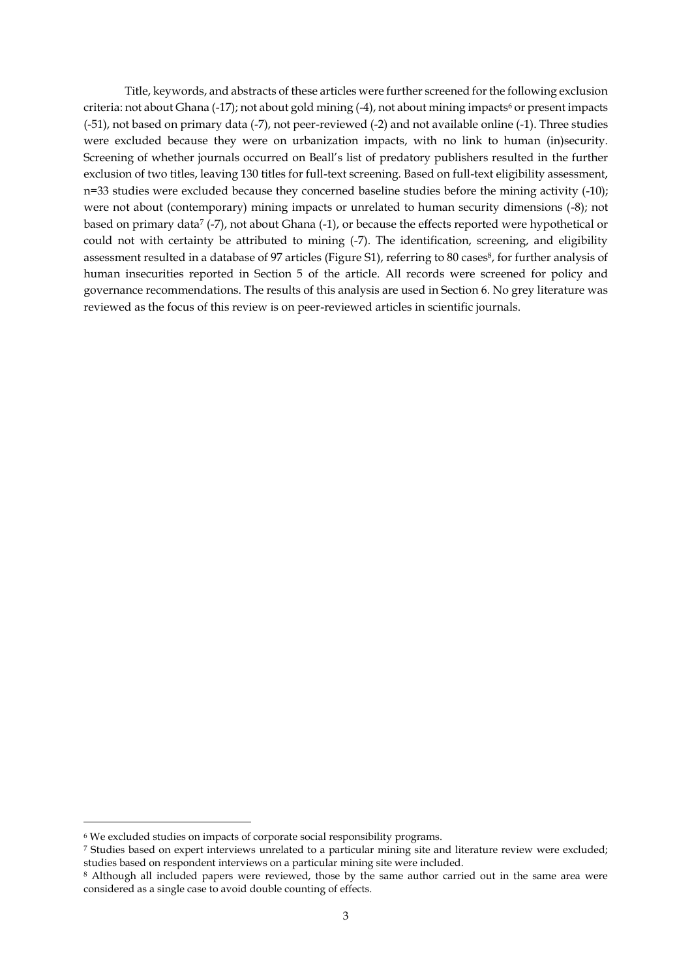Title, keywords, and abstracts of these articles were further screened for the following exclusion criteria: not about Ghana (-17); not about gold mining (-4), not about mining impacts<sup>6</sup> or present impacts (-51), not based on primary data (-7), not peer-reviewed (-2) and not available online (-1). Three studies were excluded because they were on urbanization impacts, with no link to human (in)security. Screening of whether journals occurred on Beall's list of predatory publishers resulted in the further exclusion of two titles, leaving 130 titles for full-text screening. Based on full-text eligibility assessment, n=33 studies were excluded because they concerned baseline studies before the mining activity (-10); were not about (contemporary) mining impacts or unrelated to human security dimensions (-8); not based on primary data<sup>7</sup> (-7), not about Ghana (-1), or because the effects reported were hypothetical or could not with certainty be attributed to mining (-7). The identification, screening, and eligibility assessment resulted in a database of 97 articles (Figure S1), referring to 80 cases<sup>8</sup>, for further analysis of human insecurities reported in Section 5 of the article. All records were screened for policy and governance recommendations. The results of this analysis are used in Section 6. No grey literature was reviewed as the focus of this review is on peer-reviewed articles in scientific journals.

<sup>6</sup> We excluded studies on impacts of corporate social responsibility programs.

<sup>7</sup> Studies based on expert interviews unrelated to a particular mining site and literature review were excluded; studies based on respondent interviews on a particular mining site were included.

<sup>8</sup> Although all included papers were reviewed, those by the same author carried out in the same area were considered as a single case to avoid double counting of effects.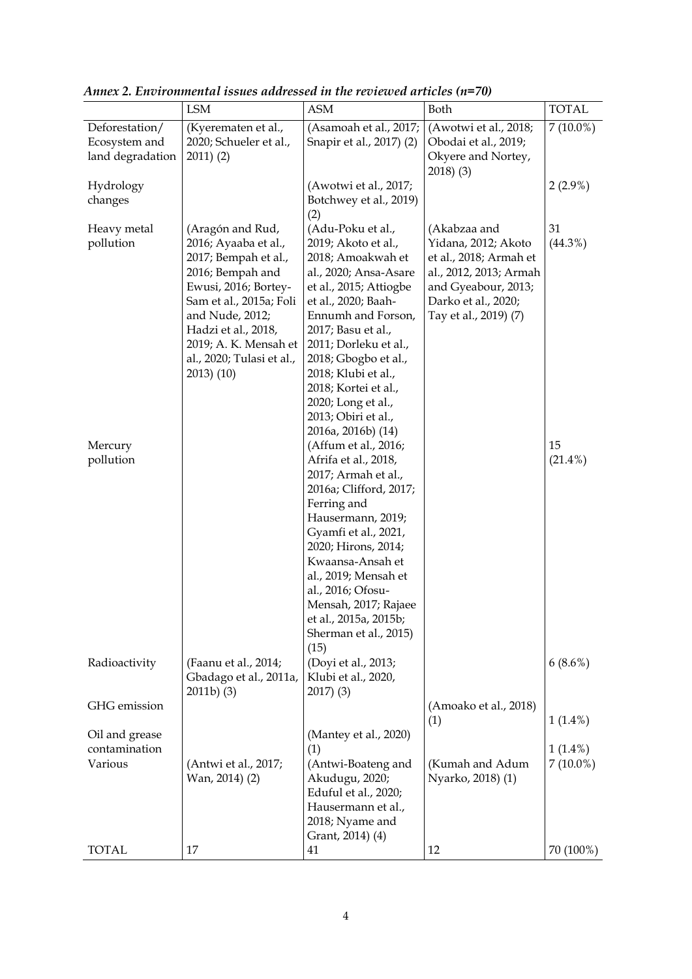|                                                     | <b>LSM</b>                                                                                                                                                                                                                                                | ASM                                                                                                                                                                                                                                                                                                                                                                                                                                                                                                                                                                                                                                                                                           | Both                                                                                                                                                           | <b>TOTAL</b>                         |
|-----------------------------------------------------|-----------------------------------------------------------------------------------------------------------------------------------------------------------------------------------------------------------------------------------------------------------|-----------------------------------------------------------------------------------------------------------------------------------------------------------------------------------------------------------------------------------------------------------------------------------------------------------------------------------------------------------------------------------------------------------------------------------------------------------------------------------------------------------------------------------------------------------------------------------------------------------------------------------------------------------------------------------------------|----------------------------------------------------------------------------------------------------------------------------------------------------------------|--------------------------------------|
| Deforestation/<br>Ecosystem and<br>land degradation | (Kyerematen et al.,<br>2020; Schueler et al.,<br>$2011)$ (2)                                                                                                                                                                                              | (Asamoah et al., 2017;<br>Snapir et al., 2017) (2)                                                                                                                                                                                                                                                                                                                                                                                                                                                                                                                                                                                                                                            | (Awotwi et al., 2018;<br>Obodai et al., 2019;<br>Okyere and Nortey,<br>2018(3)                                                                                 | $7(10.0\%)$                          |
| Hydrology<br>changes                                |                                                                                                                                                                                                                                                           | (Awotwi et al., 2017;<br>Botchwey et al., 2019)<br>(2)                                                                                                                                                                                                                                                                                                                                                                                                                                                                                                                                                                                                                                        |                                                                                                                                                                | $2(2.9\%)$                           |
| Heavy metal<br>pollution<br>Mercury<br>pollution    | (Aragón and Rud,<br>2016; Ayaaba et al.,<br>2017; Bempah et al.,<br>2016; Bempah and<br>Ewusi, 2016; Bortey-<br>Sam et al., 2015a; Foli<br>and Nude, 2012;<br>Hadzi et al., 2018,<br>2019; A. K. Mensah et<br>al., 2020; Tulasi et al.,<br>$2013)$ $(10)$ | (Adu-Poku et al.,<br>2019; Akoto et al.,<br>2018; Amoakwah et<br>al., 2020; Ansa-Asare<br>et al., 2015; Attiogbe<br>et al., 2020; Baah-<br>Ennumh and Forson,<br>2017; Basu et al.,<br>2011; Dorleku et al.,<br>2018; Gbogbo et al.,<br>2018; Klubi et al.,<br>2018; Kortei et al.,<br>2020; Long et al.,<br>2013; Obiri et al.,<br>2016a, 2016b) (14)<br>(Affum et al., 2016;<br>Afrifa et al., 2018,<br>2017; Armah et al.,<br>2016a; Clifford, 2017;<br>Ferring and<br>Hausermann, 2019;<br>Gyamfi et al., 2021,<br>2020; Hirons, 2014;<br>Kwaansa-Ansah et<br>al., 2019; Mensah et<br>al., 2016; Ofosu-<br>Mensah, 2017; Rajaee<br>et al., 2015a, 2015b;<br>Sherman et al., 2015)<br>(15) | (Akabzaa and<br>Yidana, 2012; Akoto<br>et al., 2018; Armah et<br>al., 2012, 2013; Armah<br>and Gyeabour, 2013;<br>Darko et al., 2020;<br>Tay et al., 2019) (7) | 31<br>$(44.3\%)$<br>15<br>$(21.4\%)$ |
| Radioactivity                                       | (Faanu et al., 2014;<br>Gbadago et al., 2011a,<br>$2011b)$ (3)                                                                                                                                                                                            | (Doyi et al., 2013;<br>Klubi et al., 2020,<br>$2017)$ (3)                                                                                                                                                                                                                                                                                                                                                                                                                                                                                                                                                                                                                                     |                                                                                                                                                                | $6(8.6\%)$                           |
| GHG emission                                        |                                                                                                                                                                                                                                                           |                                                                                                                                                                                                                                                                                                                                                                                                                                                                                                                                                                                                                                                                                               | (Amoako et al., 2018)<br>(1)                                                                                                                                   | $1(1.4\%)$                           |
| Oil and grease<br>contamination<br>Various          | (Antwi et al., 2017;<br>Wan, 2014) (2)                                                                                                                                                                                                                    | (Mantey et al., 2020)<br>(1)<br>(Antwi-Boateng and<br>Akudugu, 2020;<br>Eduful et al., 2020;<br>Hausermann et al.,<br>2018; Nyame and<br>Grant, 2014) (4)                                                                                                                                                                                                                                                                                                                                                                                                                                                                                                                                     | (Kumah and Adum<br>Nyarko, 2018) (1)                                                                                                                           | $1(1.4\%)$<br>$7(10.0\%)$            |
| TOTAL                                               | 17                                                                                                                                                                                                                                                        | 41                                                                                                                                                                                                                                                                                                                                                                                                                                                                                                                                                                                                                                                                                            | 12                                                                                                                                                             | 70 (100%)                            |

*Annex 2. Environmental issues addressed in the reviewed articles (n=70)*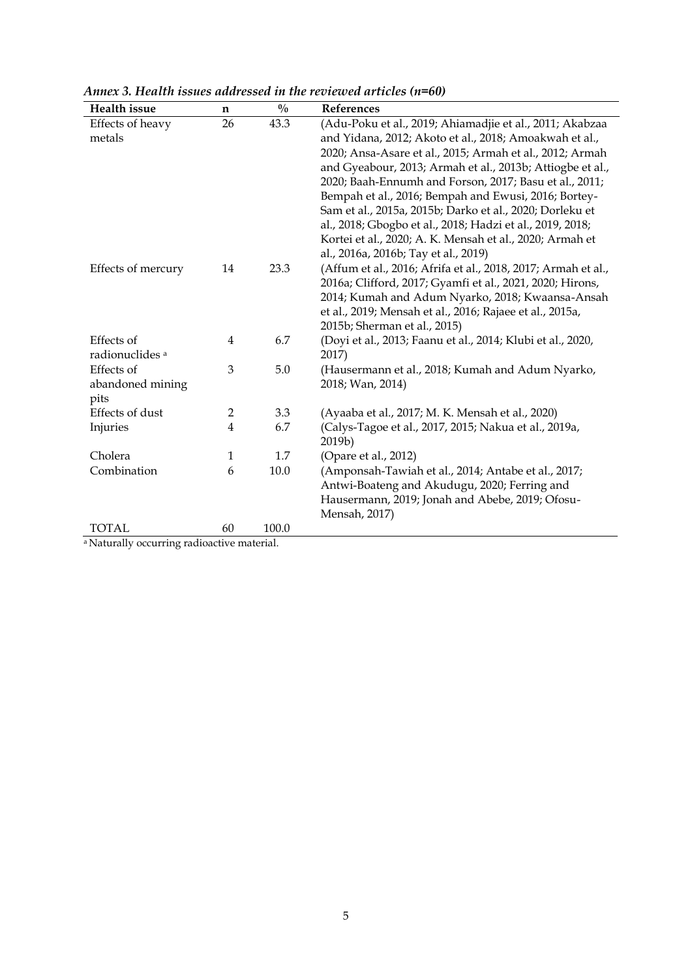| Health issue                             | n              | $\frac{0}{0}$ | References                                                                                                            |
|------------------------------------------|----------------|---------------|-----------------------------------------------------------------------------------------------------------------------|
| Effects of heavy<br>metals               | 26             | 43.3          | (Adu-Poku et al., 2019; Ahiamadjie et al., 2011; Akabzaa<br>and Yidana, 2012; Akoto et al., 2018; Amoakwah et al.,    |
|                                          |                |               |                                                                                                                       |
|                                          |                |               | 2020; Ansa-Asare et al., 2015; Armah et al., 2012; Armah<br>and Gyeabour, 2013; Armah et al., 2013b; Attiogbe et al., |
|                                          |                |               | 2020; Baah-Ennumh and Forson, 2017; Basu et al., 2011;                                                                |
|                                          |                |               | Bempah et al., 2016; Bempah and Ewusi, 2016; Bortey-                                                                  |
|                                          |                |               | Sam et al., 2015a, 2015b; Darko et al., 2020; Dorleku et                                                              |
|                                          |                |               | al., 2018; Gbogbo et al., 2018; Hadzi et al., 2019, 2018;                                                             |
|                                          |                |               | Kortei et al., 2020; A. K. Mensah et al., 2020; Armah et                                                              |
|                                          |                |               | al., 2016a, 2016b; Tay et al., 2019)                                                                                  |
| Effects of mercury                       | 14             | 23.3          | (Affum et al., 2016; Afrifa et al., 2018, 2017; Armah et al.,                                                         |
|                                          |                |               | 2016a; Clifford, 2017; Gyamfi et al., 2021, 2020; Hirons,                                                             |
|                                          |                |               | 2014; Kumah and Adum Nyarko, 2018; Kwaansa-Ansah                                                                      |
|                                          |                |               | et al., 2019; Mensah et al., 2016; Rajaee et al., 2015a,                                                              |
|                                          |                |               | 2015b; Sherman et al., 2015)                                                                                          |
| Effects of<br>radionuclides <sup>a</sup> | 4              | 6.7           | (Doyi et al., 2013; Faanu et al., 2014; Klubi et al., 2020,<br>2017)                                                  |
| Effects of                               | 3              | 5.0           | (Hausermann et al., 2018; Kumah and Adum Nyarko,                                                                      |
| abandoned mining                         |                |               | 2018; Wan, 2014)                                                                                                      |
| pits                                     |                |               |                                                                                                                       |
| Effects of dust                          | $\overline{2}$ | 3.3           | (Ayaaba et al., 2017; M. K. Mensah et al., 2020)                                                                      |
| Injuries                                 | $\overline{4}$ | 6.7           | (Calys-Tagoe et al., 2017, 2015; Nakua et al., 2019a,                                                                 |
|                                          |                |               | 2019b)                                                                                                                |
| Cholera                                  | 1              | 1.7           | (Opare et al., 2012)                                                                                                  |
| Combination                              | 6              | 10.0          | (Amponsah-Tawiah et al., 2014; Antabe et al., 2017;                                                                   |
|                                          |                |               | Antwi-Boateng and Akudugu, 2020; Ferring and                                                                          |
|                                          |                |               | Hausermann, 2019; Jonah and Abebe, 2019; Ofosu-                                                                       |
|                                          |                |               | Mensah, 2017)                                                                                                         |
| TOTAL                                    | 60             | 100.0         |                                                                                                                       |

*Annex 3. Health issues addressed in the reviewed articles (n=60)*

a Naturally occurring radioactive material.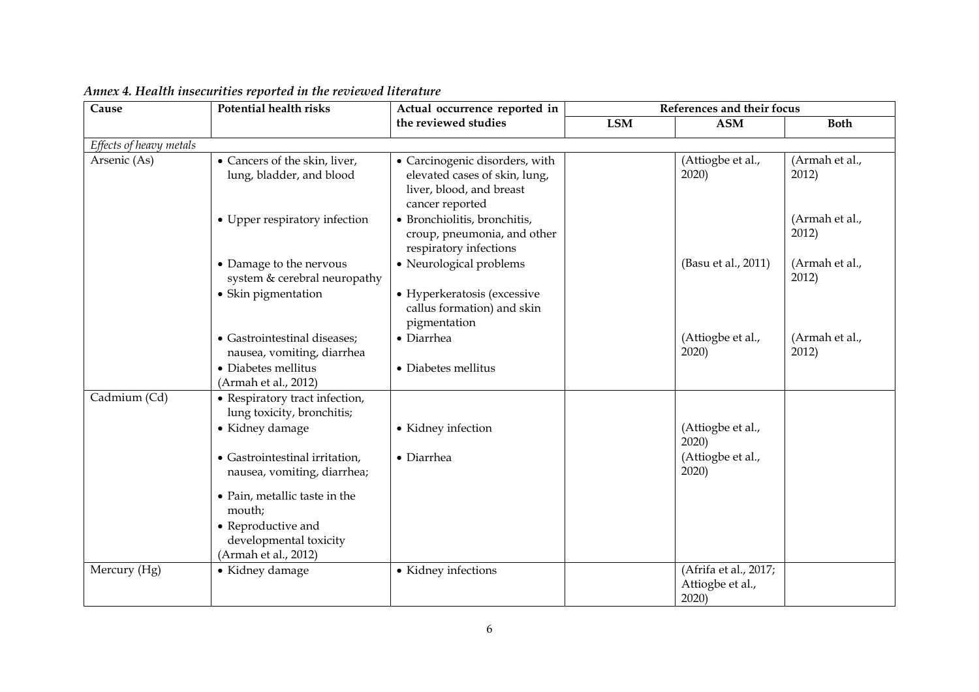| Cause                   | <b>Potential health risks</b>                                        | Actual occurrence reported in                                                                                  |     | References and their focus                        |                         |  |
|-------------------------|----------------------------------------------------------------------|----------------------------------------------------------------------------------------------------------------|-----|---------------------------------------------------|-------------------------|--|
|                         |                                                                      | the reviewed studies                                                                                           | LSM | <b>ASM</b>                                        | <b>Both</b>             |  |
| Effects of heavy metals |                                                                      |                                                                                                                |     |                                                   |                         |  |
| Arsenic (As)            | • Cancers of the skin, liver,<br>lung, bladder, and blood            | • Carcinogenic disorders, with<br>elevated cases of skin, lung,<br>liver, blood, and breast<br>cancer reported |     | (Attiogbe et al.,<br>2020)                        | (Armah et al.,<br>2012) |  |
|                         | • Upper respiratory infection                                        | • Bronchiolitis, bronchitis,<br>croup, pneumonia, and other<br>respiratory infections                          |     |                                                   | (Armah et al.,<br>2012) |  |
|                         | • Damage to the nervous<br>system & cerebral neuropathy              | • Neurological problems                                                                                        |     | (Basu et al., 2011)                               | (Armah et al.,<br>2012) |  |
|                         | • Skin pigmentation                                                  | • Hyperkeratosis (excessive<br>callus formation) and skin<br>pigmentation                                      |     |                                                   |                         |  |
|                         | • Gastrointestinal diseases;<br>nausea, vomiting, diarrhea           | • Diarrhea                                                                                                     |     | (Attiogbe et al.,<br>2020)                        | (Armah et al.,<br>2012) |  |
|                         | • Diabetes mellitus<br>(Armah et al., 2012)                          | • Diabetes mellitus                                                                                            |     |                                                   |                         |  |
| Cadmium (Cd)            | • Respiratory tract infection,<br>lung toxicity, bronchitis;         |                                                                                                                |     |                                                   |                         |  |
|                         | • Kidney damage                                                      | • Kidney infection                                                                                             |     | (Attiogbe et al.,<br>2020                         |                         |  |
|                         | • Gastrointestinal irritation,<br>nausea, vomiting, diarrhea;        | $\bullet$ Diarrhea                                                                                             |     | (Attiogbe et al.,<br>2020)                        |                         |  |
|                         | • Pain, metallic taste in the<br>mouth;                              |                                                                                                                |     |                                                   |                         |  |
|                         | • Reproductive and<br>developmental toxicity<br>(Armah et al., 2012) |                                                                                                                |     |                                                   |                         |  |
| Mercury (Hg)            | • Kidney damage                                                      | • Kidney infections                                                                                            |     | (Afrifa et al., 2017;<br>Attiogbe et al.,<br>2020 |                         |  |

## *Annex 4. Health insecurities reported in the reviewed literature*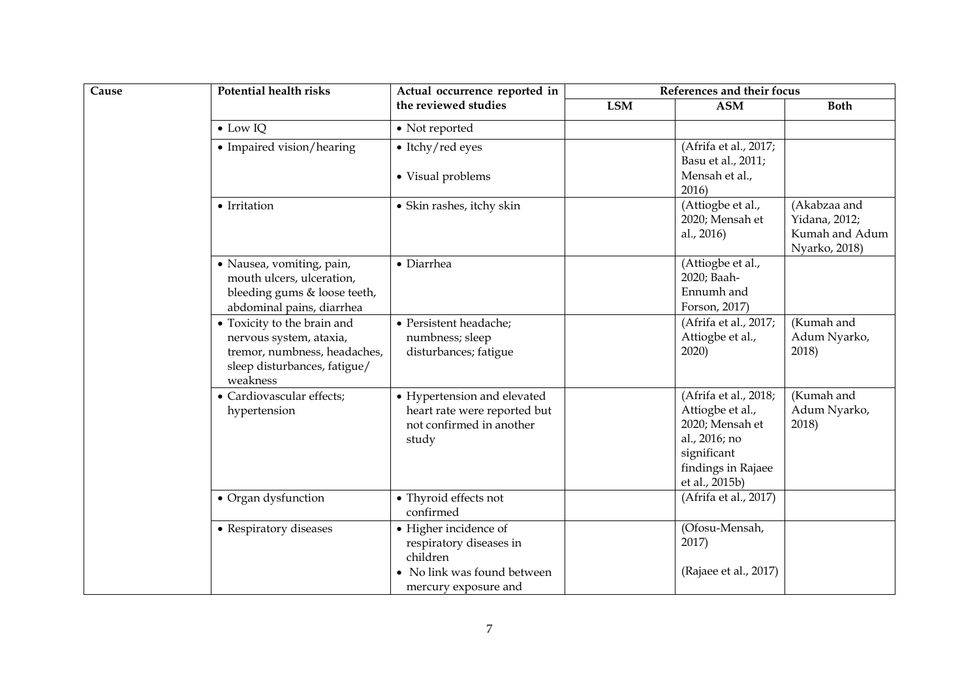| Cause | <b>Potential health risks</b>                                                                                                      | Actual occurrence reported in                                                                                       |     | References and their focus                                                                                                           |                                                                  |  |
|-------|------------------------------------------------------------------------------------------------------------------------------------|---------------------------------------------------------------------------------------------------------------------|-----|--------------------------------------------------------------------------------------------------------------------------------------|------------------------------------------------------------------|--|
|       |                                                                                                                                    | the reviewed studies                                                                                                | LSM | <b>ASM</b>                                                                                                                           | <b>Both</b>                                                      |  |
|       | $\bullet$ Low IQ                                                                                                                   | • Not reported                                                                                                      |     |                                                                                                                                      |                                                                  |  |
|       | • Impaired vision/hearing                                                                                                          | • Itchy/red eyes<br>• Visual problems                                                                               |     | (Afrifa et al., 2017;<br>Basu et al., 2011;<br>Mensah et al.,<br>2016)                                                               |                                                                  |  |
|       | • Irritation                                                                                                                       | • Skin rashes, itchy skin                                                                                           |     | (Attiogbe et al.,<br>2020; Mensah et<br>al., 2016)                                                                                   | (Akabzaa and<br>Yidana, 2012;<br>Kumah and Adum<br>Nyarko, 2018) |  |
|       | · Nausea, vomiting, pain,<br>mouth ulcers, ulceration,<br>bleeding gums & loose teeth,<br>abdominal pains, diarrhea                | • Diarrhea                                                                                                          |     | (Attiogbe et al.,<br>2020; Baah-<br>Ennumh and<br>Forson, 2017)                                                                      |                                                                  |  |
|       | • Toxicity to the brain and<br>nervous system, ataxia,<br>tremor, numbness, headaches,<br>sleep disturbances, fatigue/<br>weakness | · Persistent headache;<br>numbness; sleep<br>disturbances; fatigue                                                  |     | (Afrifa et al., 2017;<br>Attiogbe et al.,<br>2020)                                                                                   | (Kumah and<br>Adum Nyarko,<br>2018)                              |  |
|       | • Cardiovascular effects;<br>hypertension                                                                                          | • Hypertension and elevated<br>heart rate were reported but<br>not confirmed in another<br>study                    |     | (Afrifa et al., 2018;<br>Attiogbe et al.,<br>2020; Mensah et<br>al., 2016; no<br>significant<br>findings in Rajaee<br>et al., 2015b) | (Kumah and<br>Adum Nyarko,<br>2018)                              |  |
|       | • Organ dysfunction                                                                                                                | • Thyroid effects not<br>confirmed                                                                                  |     | (Afrifa et al., 2017)                                                                                                                |                                                                  |  |
|       | • Respiratory diseases                                                                                                             | • Higher incidence of<br>respiratory diseases in<br>children<br>• No link was found between<br>mercury exposure and |     | (Ofosu-Mensah,<br>2017)<br>(Rajaee et al., 2017)                                                                                     |                                                                  |  |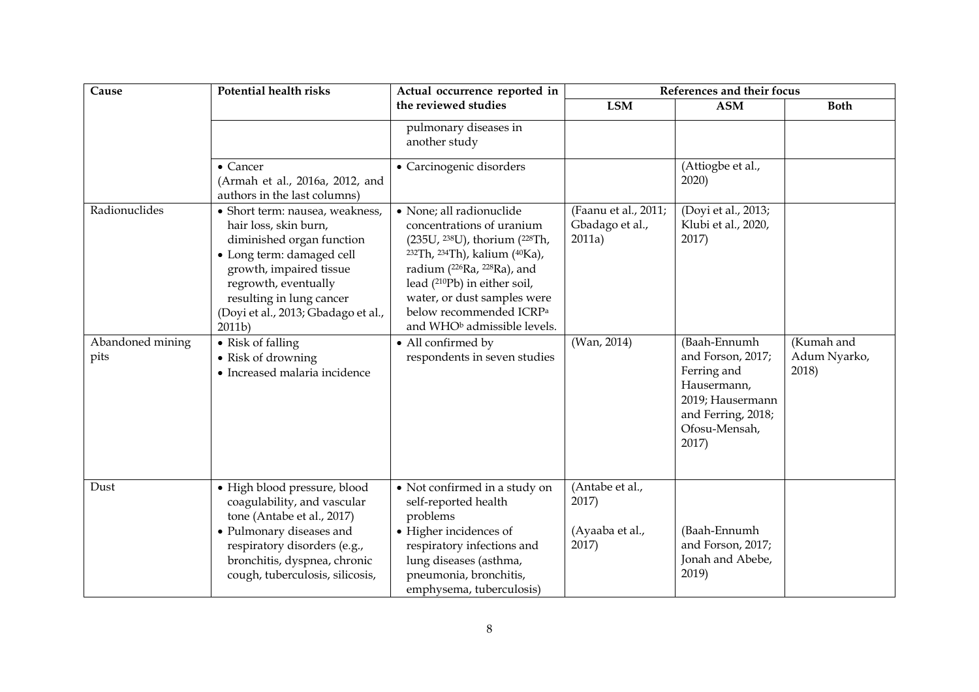| Cause                    | <b>Potential health risks</b>                                                                                                                                                                                                                      | Actual occurrence reported in                                                                                                                                                                                                                                                                                                                                        | References and their focus                           |                                                                                                                                     |                                     |  |
|--------------------------|----------------------------------------------------------------------------------------------------------------------------------------------------------------------------------------------------------------------------------------------------|----------------------------------------------------------------------------------------------------------------------------------------------------------------------------------------------------------------------------------------------------------------------------------------------------------------------------------------------------------------------|------------------------------------------------------|-------------------------------------------------------------------------------------------------------------------------------------|-------------------------------------|--|
|                          |                                                                                                                                                                                                                                                    | the reviewed studies                                                                                                                                                                                                                                                                                                                                                 | <b>LSM</b>                                           | <b>ASM</b>                                                                                                                          | <b>Both</b>                         |  |
|                          |                                                                                                                                                                                                                                                    | pulmonary diseases in<br>another study                                                                                                                                                                                                                                                                                                                               |                                                      |                                                                                                                                     |                                     |  |
|                          | • Cancer<br>(Armah et al., 2016a, 2012, and<br>authors in the last columns)                                                                                                                                                                        | • Carcinogenic disorders                                                                                                                                                                                                                                                                                                                                             |                                                      | (Attiogbe et al.,<br>2020)                                                                                                          |                                     |  |
| Radionuclides            | · Short term: nausea, weakness,<br>hair loss, skin burn,<br>diminished organ function<br>· Long term: damaged cell<br>growth, impaired tissue<br>regrowth, eventually<br>resulting in lung cancer<br>(Doyi et al., 2013; Gbadago et al.,<br>2011b) | · None; all radionuclide<br>concentrations of uranium<br>(235U, <sup>238</sup> U), thorium ( <sup>228</sup> Th,<br><sup>232</sup> Th, <sup>234</sup> Th), kalium ( <sup>40</sup> Ka),<br>radium (226Ra, 228Ra), and<br>lead (210Pb) in either soil,<br>water, or dust samples were<br>below recommended ICRP <sup>a</sup><br>and WHO <sup>b</sup> admissible levels. | (Faanu et al., 2011;<br>Gbadago et al.,<br>2011a)    | (Doyi et al., 2013;<br>Klubi et al., 2020,<br>2017)                                                                                 |                                     |  |
| Abandoned mining<br>pits | • Risk of falling<br>• Risk of drowning<br>• Increased malaria incidence                                                                                                                                                                           | • All confirmed by<br>respondents in seven studies                                                                                                                                                                                                                                                                                                                   | (Wan, 2014)                                          | (Baah-Ennumh<br>and Forson, 2017;<br>Ferring and<br>Hausermann,<br>2019; Hausermann<br>and Ferring, 2018;<br>Ofosu-Mensah,<br>2017) | (Kumah and<br>Adum Nyarko,<br>2018) |  |
| Dust                     | · High blood pressure, blood<br>coagulability, and vascular<br>tone (Antabe et al., 2017)<br>• Pulmonary diseases and<br>respiratory disorders (e.g.,<br>bronchitis, dyspnea, chronic<br>cough, tuberculosis, silicosis,                           | • Not confirmed in a study on<br>self-reported health<br>problems<br>• Higher incidences of<br>respiratory infections and<br>lung diseases (asthma,<br>pneumonia, bronchitis,<br>emphysema, tuberculosis)                                                                                                                                                            | (Antabe et al.,<br>2017)<br>(Ayaaba et al.,<br>2017) | (Baah-Ennumh<br>and Forson, 2017;<br>Jonah and Abebe,<br>2019)                                                                      |                                     |  |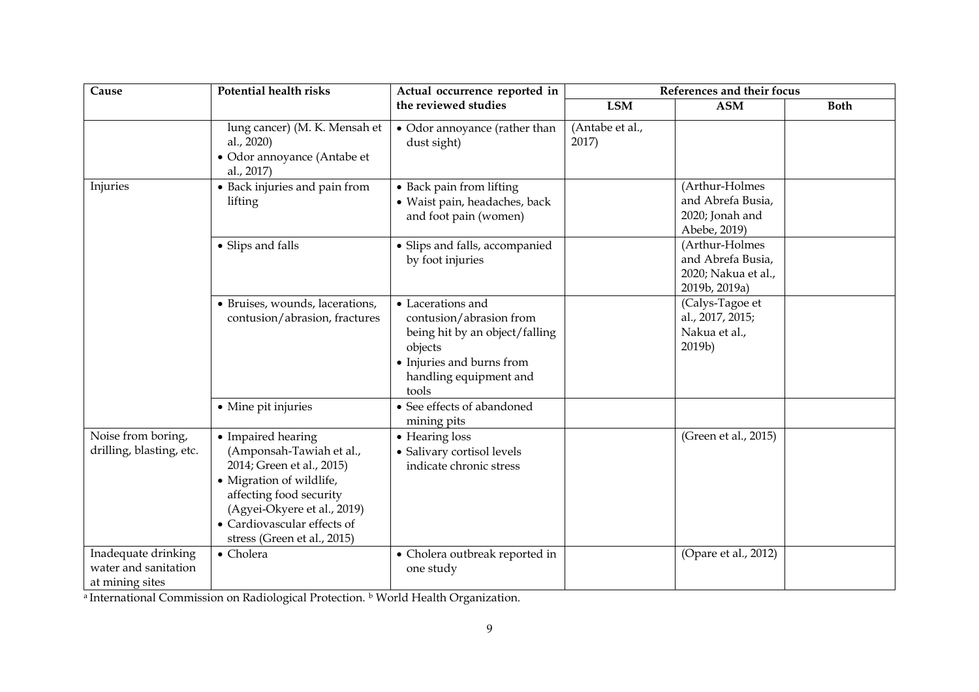| Cause                                                          | <b>Potential health risks</b>                                                                                                                                                                                                   | Actual occurrence reported in                                                                                                                             | References and their focus |                                                                             |             |
|----------------------------------------------------------------|---------------------------------------------------------------------------------------------------------------------------------------------------------------------------------------------------------------------------------|-----------------------------------------------------------------------------------------------------------------------------------------------------------|----------------------------|-----------------------------------------------------------------------------|-------------|
|                                                                |                                                                                                                                                                                                                                 | the reviewed studies                                                                                                                                      | LSM                        | <b>ASM</b>                                                                  | <b>Both</b> |
|                                                                | lung cancer) (M. K. Mensah et<br>al., 2020)<br>• Odor annoyance (Antabe et<br>al., 2017)                                                                                                                                        | • Odor annoyance (rather than<br>dust sight)                                                                                                              | (Antabe et al.,<br>2017)   |                                                                             |             |
| Injuries                                                       | • Back injuries and pain from<br>lifting                                                                                                                                                                                        | • Back pain from lifting<br>· Waist pain, headaches, back<br>and foot pain (women)                                                                        |                            | (Arthur-Holmes<br>and Abrefa Busia,<br>2020; Jonah and<br>Abebe, 2019)      |             |
|                                                                | • Slips and falls                                                                                                                                                                                                               | • Slips and falls, accompanied<br>by foot injuries                                                                                                        |                            | (Arthur-Holmes<br>and Abrefa Busia,<br>2020; Nakua et al.,<br>2019b, 2019a) |             |
|                                                                | • Bruises, wounds, lacerations,<br>contusion/abrasion, fractures                                                                                                                                                                | • Lacerations and<br>contusion/abrasion from<br>being hit by an object/falling<br>objects<br>• Injuries and burns from<br>handling equipment and<br>tools |                            | (Calys-Tagoe et<br>al., 2017, 2015;<br>Nakua et al.,<br>2019b)              |             |
|                                                                | • Mine pit injuries                                                                                                                                                                                                             | • See effects of abandoned<br>mining pits                                                                                                                 |                            |                                                                             |             |
| Noise from boring,<br>drilling, blasting, etc.                 | • Impaired hearing<br>(Amponsah-Tawiah et al.,<br>2014; Green et al., 2015)<br>• Migration of wildlife,<br>affecting food security<br>(Agyei-Okyere et al., 2019)<br>• Cardiovascular effects of<br>stress (Green et al., 2015) | • Hearing loss<br>• Salivary cortisol levels<br>indicate chronic stress                                                                                   |                            | (Green et al., 2015)                                                        |             |
| Inadequate drinking<br>water and sanitation<br>at mining sites | • Cholera                                                                                                                                                                                                                       | • Cholera outbreak reported in<br>one study                                                                                                               |                            | (Opare et al., 2012)                                                        |             |

a International Commission on Radiological Protection. **b** World Health Organization.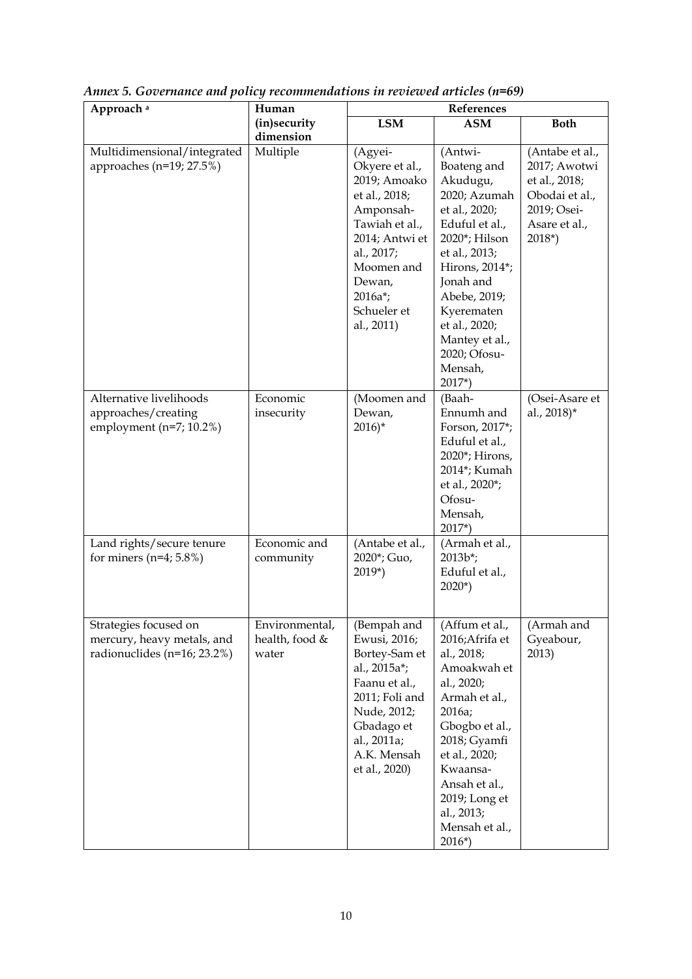| Approach <sup>a</sup>                                                              | Human                                     | References                                                                                                                                                                                    |                                                                                                                                                                                                                                                                |                                                                                                                |
|------------------------------------------------------------------------------------|-------------------------------------------|-----------------------------------------------------------------------------------------------------------------------------------------------------------------------------------------------|----------------------------------------------------------------------------------------------------------------------------------------------------------------------------------------------------------------------------------------------------------------|----------------------------------------------------------------------------------------------------------------|
|                                                                                    | (in)security<br>dimension                 | <b>LSM</b>                                                                                                                                                                                    | <b>ASM</b>                                                                                                                                                                                                                                                     | <b>Both</b>                                                                                                    |
| Multidimensional/integrated<br>approaches (n=19; 27.5%)                            | Multiple                                  | (Agyei-<br>Okyere et al.,<br>2019; Amoako<br>et al., 2018;<br>Amponsah-<br>Tawiah et al.,<br>2014; Antwi et<br>al., 2017;<br>Moomen and<br>Dewan,<br>$2016a^*$ ;<br>Schueler et<br>al., 2011) | (Antwi-<br>Boateng and<br>Akudugu,<br>2020; Azumah<br>et al., 2020;<br>Eduful et al.,<br>2020*; Hilson<br>et al., 2013;<br>Hirons, 2014*;<br>Jonah and<br>Abebe, 2019;<br>Kyerematen<br>et al., 2020;<br>Mantey et al.,<br>2020; Ofosu-<br>Mensah,<br>$2017*)$ | (Antabe et al.,<br>2017; Awotwi<br>et al., 2018;<br>Obodai et al.,<br>2019; Osei-<br>Asare et al.,<br>$2018*)$ |
| Alternative livelihoods<br>approaches/creating<br>employment ( $n=7$ ; 10.2%)      | Economic<br>insecurity                    | (Moomen and<br>Dewan,<br>$2016$ <sup>*</sup>                                                                                                                                                  | (Baah-<br>Ennumh and<br>Forson, 2017*;<br>Eduful et al.,<br>2020*; Hirons,<br>2014*; Kumah<br>et al., 2020*;<br>Ofosu-<br>Mensah,<br>$2017*)$                                                                                                                  | (Osei-Asare et<br>al., 2018)*                                                                                  |
| Land rights/secure tenure<br>for miners $(n=4; 5.8\%)$                             | Economic and<br>community                 | (Antabe et al.,<br>2020*; Guo,<br>2019*)                                                                                                                                                      | (Armah et al.,<br>$2013b^{*}$ ;<br>Eduful et al.,<br>$2020*)$                                                                                                                                                                                                  |                                                                                                                |
| Strategies focused on<br>mercury, heavy metals, and<br>radionuclides (n=16; 23.2%) | Environmental,<br>health, food &<br>water | (Bempah and<br>Ewusi, 2016;<br>Bortey-Sam et<br>al., 2015a*;<br>Faanu et al.,<br>2011; Foli and<br>Nude, 2012;<br>Gbadago et<br>al., 2011a;<br>A.K. Mensah<br>et al., 2020)                   | (Affum et al.,<br>2016;Afrifa et<br>al., 2018;<br>Amoakwah et<br>al., 2020;<br>Armah et al.,<br>2016a;<br>Gbogbo et al.,<br>2018; Gyamfi<br>et al., 2020;<br>Kwaansa-<br>Ansah et al.,<br>2019; Long et<br>al., 2013;<br>Mensah et al.,<br>$2016*)$            | (Armah and<br>Gyeabour,<br>2013)                                                                               |

*Annex 5. Governance and policy recommendations in reviewed articles (n=69)*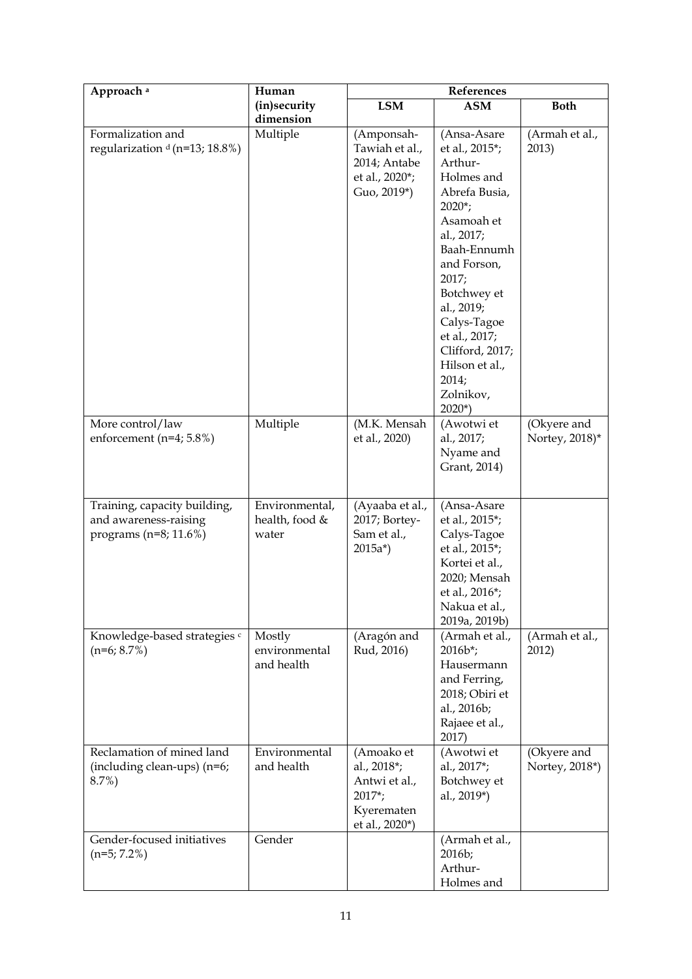| Approach <sup>a</sup>                                                              | Human                                     | References                                                                             |                                                                                                                                                                                                                                                                                                         |                               |
|------------------------------------------------------------------------------------|-------------------------------------------|----------------------------------------------------------------------------------------|---------------------------------------------------------------------------------------------------------------------------------------------------------------------------------------------------------------------------------------------------------------------------------------------------------|-------------------------------|
|                                                                                    | (in)security<br>dimension                 | <b>LSM</b>                                                                             | <b>ASM</b>                                                                                                                                                                                                                                                                                              | <b>Both</b>                   |
| Formalization and<br>regularization $d$ (n=13; 18.8%)                              | Multiple                                  | (Amponsah-<br>Tawiah et al.,<br>2014; Antabe<br>et al., 2020*;<br>Guo, 2019*)          | (Ansa-Asare<br>et al., 2015*;<br>Arthur-<br>Holmes and<br>Abrefa Busia,<br>$2020$ <sup>*</sup> ;<br>Asamoah et<br>al., 2017;<br>Baah-Ennumh<br>and Forson,<br>2017;<br>Botchwey et<br>al., 2019;<br>Calys-Tagoe<br>et al., 2017;<br>Clifford, 2017;<br>Hilson et al.,<br>2014;<br>Zolnikov,<br>$2020*)$ | (Armah et al.,<br>2013)       |
| More control/law<br>enforcement ( $n=4$ ; 5.8%)                                    | Multiple                                  | (M.K. Mensah<br>et al., 2020)                                                          | (Awotwi et<br>al., 2017;<br>Nyame and<br>Grant, 2014)                                                                                                                                                                                                                                                   | (Okyere and<br>Nortey, 2018)* |
| Training, capacity building,<br>and awareness-raising<br>programs ( $n=8$ ; 11.6%) | Environmental,<br>health, food &<br>water | (Ayaaba et al.,<br>2017; Bortey-<br>Sam et al.,<br>$2015a^*$                           | (Ansa-Asare<br>et al., 2015*;<br>Calys-Tagoe<br>et al., 2015*;<br>Kortei et al.,<br>2020; Mensah<br>et al., 2016*;<br>Nakua et al.,<br>2019a, 2019b)                                                                                                                                                    |                               |
| Knowledge-based strategies c<br>$(n=6; 8.7%)$                                      | Mostly<br>environmental<br>and health     | (Aragón and<br>Rud, 2016)                                                              | (Armah et al.,<br>$2016b^*$ ;<br>Hausermann<br>and Ferring,<br>2018; Obiri et<br>al., 2016b;<br>Rajaee et al.,<br>2017)                                                                                                                                                                                 | (Armah et al.,<br>2012)       |
| Reclamation of mined land<br>(including clean-ups) (n=6;<br>$8.7\%)$               | Environmental<br>and health               | (Amoako et<br>al., 2018*;<br>Antwi et al.,<br>$2017$ ;<br>Kyerematen<br>et al., 2020*) | (Awotwi et<br>al., 2017*;<br>Botchwey et<br>al., 2019*)                                                                                                                                                                                                                                                 | (Okyere and<br>Nortey, 2018*) |
| Gender-focused initiatives<br>$(n=5; 7.2\%)$                                       | Gender                                    |                                                                                        | (Armah et al.,<br>2016b;<br>Arthur-<br>Holmes and                                                                                                                                                                                                                                                       |                               |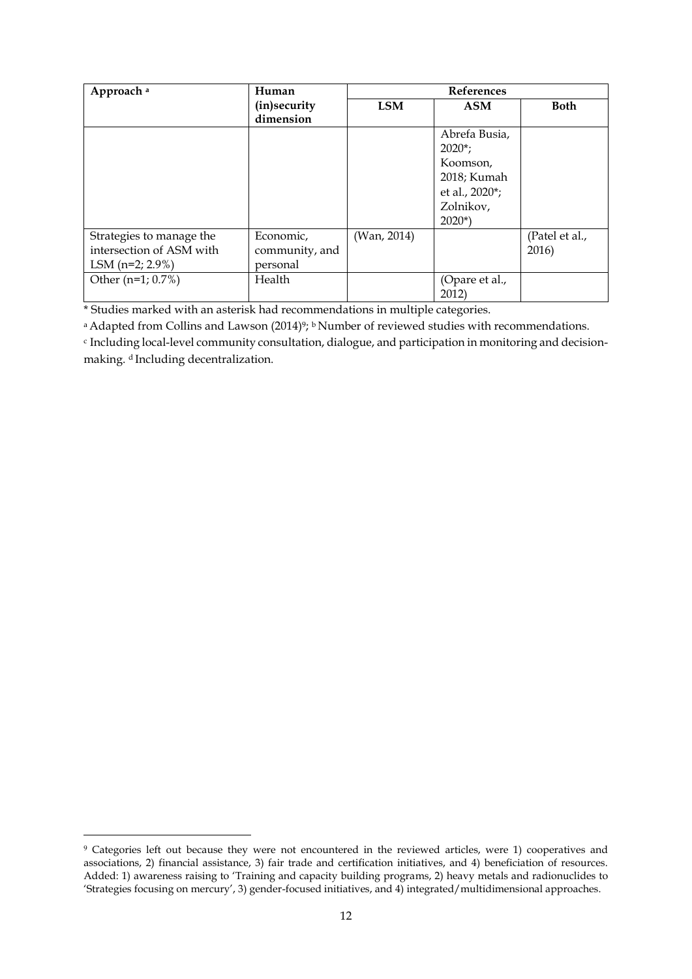| Approach <sup>a</sup>                                                      | Human                                   |             | <b>References</b>                                                                                            |                         |  |
|----------------------------------------------------------------------------|-----------------------------------------|-------------|--------------------------------------------------------------------------------------------------------------|-------------------------|--|
|                                                                            | (in)security                            | <b>LSM</b>  | <b>ASM</b>                                                                                                   | <b>Both</b>             |  |
|                                                                            | dimension                               |             |                                                                                                              |                         |  |
|                                                                            |                                         |             | Abrefa Busia,<br>$2020$ <sup>*</sup> ;<br>Koomson,<br>2018; Kumah<br>et al., 2020*;<br>Zolnikov,<br>$2020*)$ |                         |  |
| Strategies to manage the<br>intersection of ASM with<br>LSM $(n=2; 2.9\%)$ | Economic,<br>community, and<br>personal | (Wan, 2014) |                                                                                                              | (Patel et al.,<br>2016) |  |
| Other $(n=1; 0.7%)$                                                        | Health                                  |             | (Opare et al.,<br>2012)                                                                                      |                         |  |

\* Studies marked with an asterisk had recommendations in multiple categories.

<sup>a</sup> Adapted from Collins and Lawson (2014)<sup>9</sup>; <sup>b</sup> Number of reviewed studies with recommendations.

<sup>c</sup> Including local-level community consultation, dialogue, and participation in monitoring and decisionmaking. dIncluding decentralization.

<sup>&</sup>lt;sup>9</sup> Categories left out because they were not encountered in the reviewed articles, were 1) cooperatives and associations, 2) financial assistance, 3) fair trade and certification initiatives, and 4) beneficiation of resources. Added: 1) awareness raising to 'Training and capacity building programs, 2) heavy metals and radionuclides to 'Strategies focusing on mercury', 3) gender-focused initiatives, and 4) integrated/multidimensional approaches.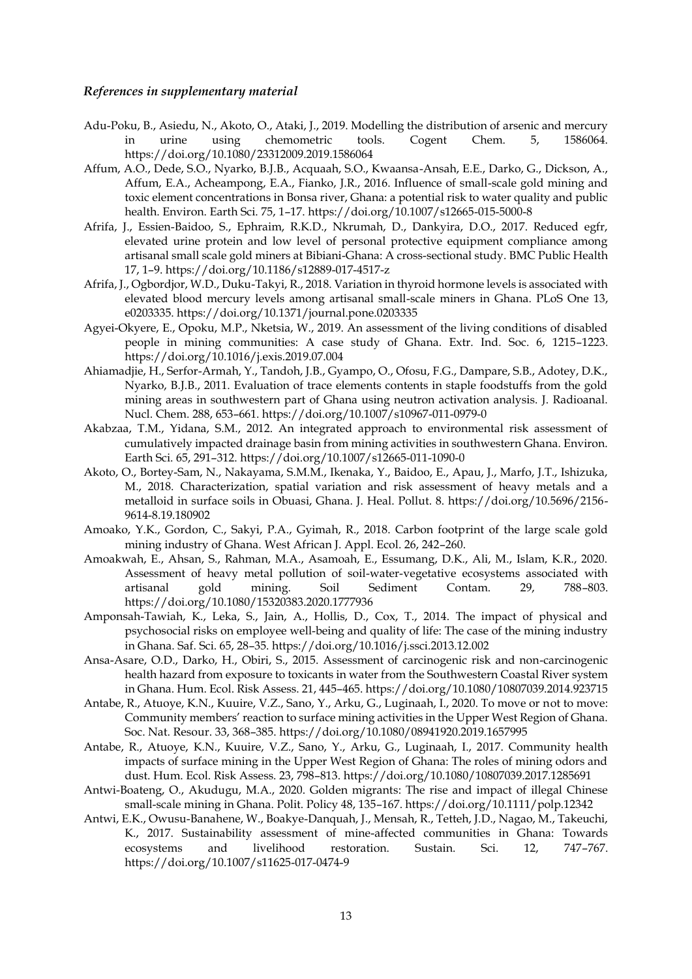#### *References in supplementary material*

- Adu-Poku, B., Asiedu, N., Akoto, O., Ataki, J., 2019. Modelling the distribution of arsenic and mercury in urine using chemometric tools. Cogent Chem. 5, 1586064. https://doi.org/10.1080/23312009.2019.1586064
- Affum, A.O., Dede, S.O., Nyarko, B.J.B., Acquaah, S.O., Kwaansa-Ansah, E.E., Darko, G., Dickson, A., Affum, E.A., Acheampong, E.A., Fianko, J.R., 2016. Influence of small-scale gold mining and toxic element concentrations in Bonsa river, Ghana: a potential risk to water quality and public health. Environ. Earth Sci. 75, 1–17. https://doi.org/10.1007/s12665-015-5000-8
- Afrifa, J., Essien-Baidoo, S., Ephraim, R.K.D., Nkrumah, D., Dankyira, D.O., 2017. Reduced egfr, elevated urine protein and low level of personal protective equipment compliance among artisanal small scale gold miners at Bibiani-Ghana: A cross-sectional study. BMC Public Health 17, 1–9. https://doi.org/10.1186/s12889-017-4517-z
- Afrifa, J., Ogbordjor, W.D., Duku-Takyi, R., 2018. Variation in thyroid hormone levels is associated with elevated blood mercury levels among artisanal small-scale miners in Ghana. PLoS One 13, e0203335. https://doi.org/10.1371/journal.pone.0203335
- Agyei-Okyere, E., Opoku, M.P., Nketsia, W., 2019. An assessment of the living conditions of disabled people in mining communities: A case study of Ghana. Extr. Ind. Soc. 6, 1215–1223. https://doi.org/10.1016/j.exis.2019.07.004
- Ahiamadjie, H., Serfor-Armah, Y., Tandoh, J.B., Gyampo, O., Ofosu, F.G., Dampare, S.B., Adotey, D.K., Nyarko, B.J.B., 2011. Evaluation of trace elements contents in staple foodstuffs from the gold mining areas in southwestern part of Ghana using neutron activation analysis. J. Radioanal. Nucl. Chem. 288, 653–661. https://doi.org/10.1007/s10967-011-0979-0
- Akabzaa, T.M., Yidana, S.M., 2012. An integrated approach to environmental risk assessment of cumulatively impacted drainage basin from mining activities in southwestern Ghana. Environ. Earth Sci. 65, 291–312. https://doi.org/10.1007/s12665-011-1090-0
- Akoto, O., Bortey-Sam, N., Nakayama, S.M.M., Ikenaka, Y., Baidoo, E., Apau, J., Marfo, J.T., Ishizuka, M., 2018. Characterization, spatial variation and risk assessment of heavy metals and a metalloid in surface soils in Obuasi, Ghana. J. Heal. Pollut. 8. https://doi.org/10.5696/2156- 9614-8.19.180902
- Amoako, Y.K., Gordon, C., Sakyi, P.A., Gyimah, R., 2018. Carbon footprint of the large scale gold mining industry of Ghana. West African J. Appl. Ecol. 26, 242–260.
- Amoakwah, E., Ahsan, S., Rahman, M.A., Asamoah, E., Essumang, D.K., Ali, M., Islam, K.R., 2020. Assessment of heavy metal pollution of soil-water-vegetative ecosystems associated with artisanal gold mining. Soil Sediment Contam. 29, 788–803. https://doi.org/10.1080/15320383.2020.1777936
- Amponsah-Tawiah, K., Leka, S., Jain, A., Hollis, D., Cox, T., 2014. The impact of physical and psychosocial risks on employee well-being and quality of life: The case of the mining industry in Ghana. Saf. Sci. 65, 28–35. https://doi.org/10.1016/j.ssci.2013.12.002
- Ansa-Asare, O.D., Darko, H., Obiri, S., 2015. Assessment of carcinogenic risk and non-carcinogenic health hazard from exposure to toxicants in water from the Southwestern Coastal River system in Ghana. Hum. Ecol. Risk Assess. 21, 445–465. https://doi.org/10.1080/10807039.2014.923715
- Antabe, R., Atuoye, K.N., Kuuire, V.Z., Sano, Y., Arku, G., Luginaah, I., 2020. To move or not to move: Community members' reaction to surface mining activities in the Upper West Region of Ghana. Soc. Nat. Resour. 33, 368–385. https://doi.org/10.1080/08941920.2019.1657995
- Antabe, R., Atuoye, K.N., Kuuire, V.Z., Sano, Y., Arku, G., Luginaah, I., 2017. Community health impacts of surface mining in the Upper West Region of Ghana: The roles of mining odors and dust. Hum. Ecol. Risk Assess. 23, 798–813. https://doi.org/10.1080/10807039.2017.1285691
- Antwi-Boateng, O., Akudugu, M.A., 2020. Golden migrants: The rise and impact of illegal Chinese small-scale mining in Ghana. Polit. Policy 48, 135–167. https://doi.org/10.1111/polp.12342
- Antwi, E.K., Owusu-Banahene, W., Boakye-Danquah, J., Mensah, R., Tetteh, J.D., Nagao, M., Takeuchi, K., 2017. Sustainability assessment of mine-affected communities in Ghana: Towards ecosystems and livelihood restoration. Sustain. Sci. 12, 747–767. https://doi.org/10.1007/s11625-017-0474-9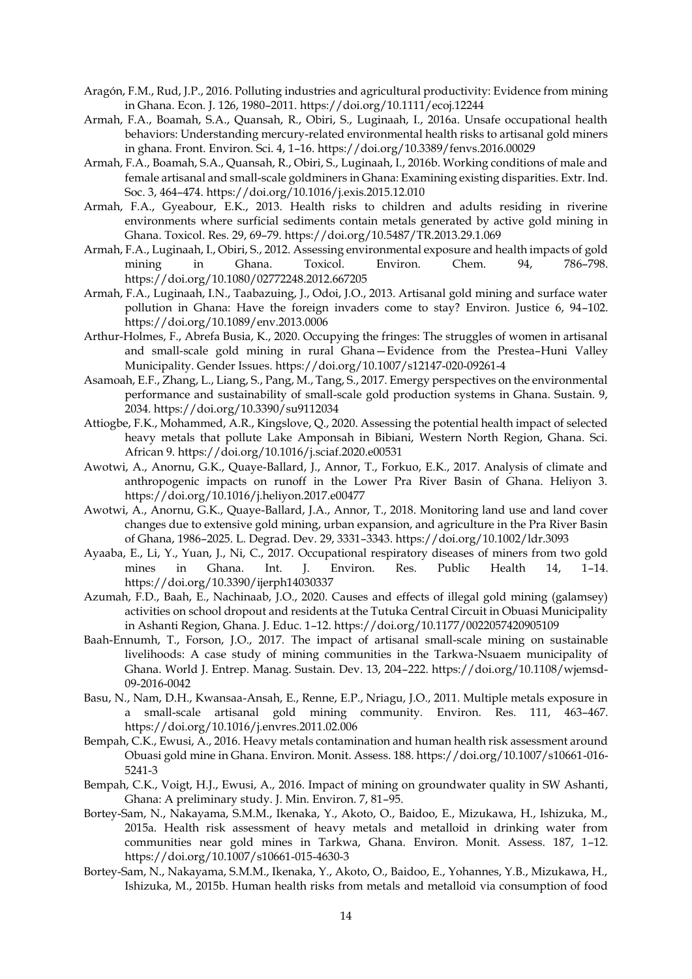- Aragón, F.M., Rud, J.P., 2016. Polluting industries and agricultural productivity: Evidence from mining in Ghana. Econ. J. 126, 1980–2011. https://doi.org/10.1111/ecoj.12244
- Armah, F.A., Boamah, S.A., Quansah, R., Obiri, S., Luginaah, I., 2016a. Unsafe occupational health behaviors: Understanding mercury-related environmental health risks to artisanal gold miners in ghana. Front. Environ. Sci. 4, 1–16. https://doi.org/10.3389/fenvs.2016.00029
- Armah, F.A., Boamah, S.A., Quansah, R., Obiri, S., Luginaah, I., 2016b. Working conditions of male and female artisanal and small-scale goldminers in Ghana: Examining existing disparities. Extr. Ind. Soc. 3, 464–474. https://doi.org/10.1016/j.exis.2015.12.010
- Armah, F.A., Gyeabour, E.K., 2013. Health risks to children and adults residing in riverine environments where surficial sediments contain metals generated by active gold mining in Ghana. Toxicol. Res. 29, 69–79. https://doi.org/10.5487/TR.2013.29.1.069
- Armah, F.A., Luginaah, I., Obiri, S., 2012. Assessing environmental exposure and health impacts of gold mining in Ghana. Toxicol. Environ. Chem. 94, 786–798. https://doi.org/10.1080/02772248.2012.667205
- Armah, F.A., Luginaah, I.N., Taabazuing, J., Odoi, J.O., 2013. Artisanal gold mining and surface water pollution in Ghana: Have the foreign invaders come to stay? Environ. Justice 6, 94–102. https://doi.org/10.1089/env.2013.0006
- Arthur-Holmes, F., Abrefa Busia, K., 2020. Occupying the fringes: The struggles of women in artisanal and small-scale gold mining in rural Ghana—Evidence from the Prestea–Huni Valley Municipality. Gender Issues. https://doi.org/10.1007/s12147-020-09261-4
- Asamoah, E.F., Zhang, L., Liang, S., Pang, M., Tang, S., 2017. Emergy perspectives on the environmental performance and sustainability of small-scale gold production systems in Ghana. Sustain. 9, 2034. https://doi.org/10.3390/su9112034
- Attiogbe, F.K., Mohammed, A.R., Kingslove, Q., 2020. Assessing the potential health impact of selected heavy metals that pollute Lake Amponsah in Bibiani, Western North Region, Ghana. Sci. African 9. https://doi.org/10.1016/j.sciaf.2020.e00531
- Awotwi, A., Anornu, G.K., Quaye-Ballard, J., Annor, T., Forkuo, E.K., 2017. Analysis of climate and anthropogenic impacts on runoff in the Lower Pra River Basin of Ghana. Heliyon 3. https://doi.org/10.1016/j.heliyon.2017.e00477
- Awotwi, A., Anornu, G.K., Quaye-Ballard, J.A., Annor, T., 2018. Monitoring land use and land cover changes due to extensive gold mining, urban expansion, and agriculture in the Pra River Basin of Ghana, 1986–2025. L. Degrad. Dev. 29, 3331–3343. https://doi.org/10.1002/ldr.3093
- Ayaaba, E., Li, Y., Yuan, J., Ni, C., 2017. Occupational respiratory diseases of miners from two gold mines in Ghana. Int. J. Environ. Res. Public Health 14, 1–14. https://doi.org/10.3390/ijerph14030337
- Azumah, F.D., Baah, E., Nachinaab, J.O., 2020. Causes and effects of illegal gold mining (galamsey) activities on school dropout and residents at the Tutuka Central Circuit in Obuasi Municipality in Ashanti Region, Ghana. J. Educ. 1–12. https://doi.org/10.1177/0022057420905109
- Baah-Ennumh, T., Forson, J.O., 2017. The impact of artisanal small-scale mining on sustainable livelihoods: A case study of mining communities in the Tarkwa-Nsuaem municipality of Ghana. World J. Entrep. Manag. Sustain. Dev. 13, 204–222. https://doi.org/10.1108/wjemsd-09-2016-0042
- Basu, N., Nam, D.H., Kwansaa-Ansah, E., Renne, E.P., Nriagu, J.O., 2011. Multiple metals exposure in a small-scale artisanal gold mining community. Environ. Res. 111, 463–467. https://doi.org/10.1016/j.envres.2011.02.006
- Bempah, C.K., Ewusi, A., 2016. Heavy metals contamination and human health risk assessment around Obuasi gold mine in Ghana. Environ. Monit. Assess. 188. https://doi.org/10.1007/s10661-016- 5241-3
- Bempah, C.K., Voigt, H.J., Ewusi, A., 2016. Impact of mining on groundwater quality in SW Ashanti, Ghana: A preliminary study. J. Min. Environ. 7, 81–95.
- Bortey-Sam, N., Nakayama, S.M.M., Ikenaka, Y., Akoto, O., Baidoo, E., Mizukawa, H., Ishizuka, M., 2015a. Health risk assessment of heavy metals and metalloid in drinking water from communities near gold mines in Tarkwa, Ghana. Environ. Monit. Assess. 187, 1–12. https://doi.org/10.1007/s10661-015-4630-3
- Bortey-Sam, N., Nakayama, S.M.M., Ikenaka, Y., Akoto, O., Baidoo, E., Yohannes, Y.B., Mizukawa, H., Ishizuka, M., 2015b. Human health risks from metals and metalloid via consumption of food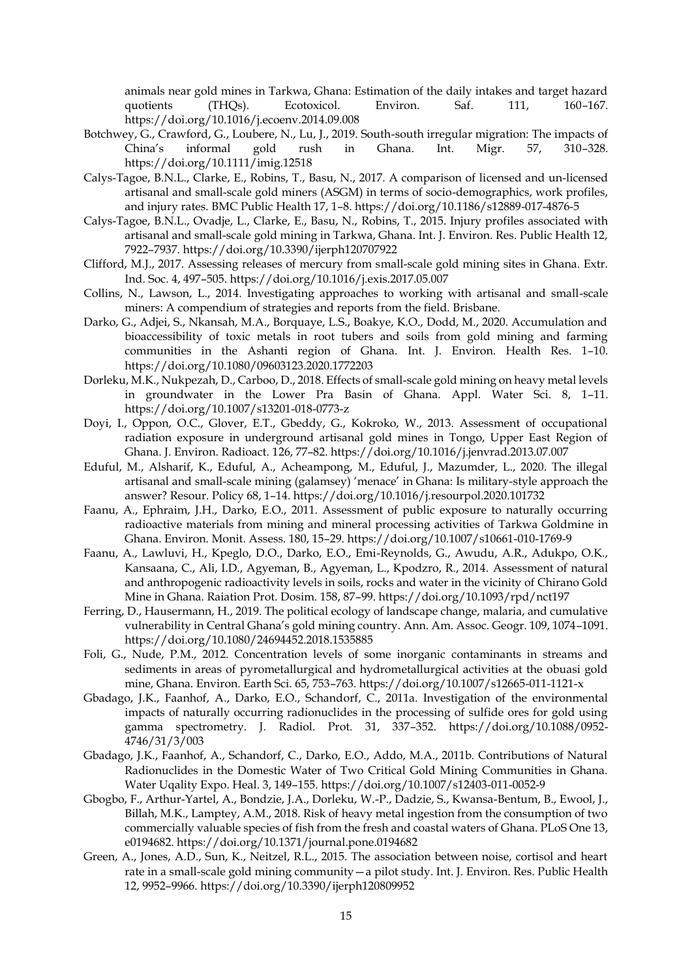animals near gold mines in Tarkwa, Ghana: Estimation of the daily intakes and target hazard quotients (THQs). Ecotoxicol. Environ. Saf. 111, 160–167. https://doi.org/10.1016/j.ecoenv.2014.09.008

- Botchwey, G., Crawford, G., Loubere, N., Lu, J., 2019. South-south irregular migration: The impacts of China's informal gold rush in Ghana. Int. Migr. 57, 310–328. https://doi.org/10.1111/imig.12518
- Calys-Tagoe, B.N.L., Clarke, E., Robins, T., Basu, N., 2017. A comparison of licensed and un-licensed artisanal and small-scale gold miners (ASGM) in terms of socio-demographics, work profiles, and injury rates. BMC Public Health 17, 1–8. https://doi.org/10.1186/s12889-017-4876-5
- Calys-Tagoe, B.N.L., Ovadje, L., Clarke, E., Basu, N., Robins, T., 2015. Injury profiles associated with artisanal and small-scale gold mining in Tarkwa, Ghana. Int. J. Environ. Res. Public Health 12, 7922–7937. https://doi.org/10.3390/ijerph120707922
- Clifford, M.J., 2017. Assessing releases of mercury from small-scale gold mining sites in Ghana. Extr. Ind. Soc. 4, 497–505. https://doi.org/10.1016/j.exis.2017.05.007
- Collins, N., Lawson, L., 2014. Investigating approaches to working with artisanal and small-scale miners: A compendium of strategies and reports from the field. Brisbane.
- Darko, G., Adjei, S., Nkansah, M.A., Borquaye, L.S., Boakye, K.O., Dodd, M., 2020. Accumulation and bioaccessibility of toxic metals in root tubers and soils from gold mining and farming communities in the Ashanti region of Ghana. Int. J. Environ. Health Res. 1–10. https://doi.org/10.1080/09603123.2020.1772203
- Dorleku, M.K., Nukpezah, D., Carboo, D., 2018. Effects of small-scale gold mining on heavy metal levels in groundwater in the Lower Pra Basin of Ghana. Appl. Water Sci. 8, 1–11. https://doi.org/10.1007/s13201-018-0773-z
- Doyi, I., Oppon, O.C., Glover, E.T., Gbeddy, G., Kokroko, W., 2013. Assessment of occupational radiation exposure in underground artisanal gold mines in Tongo, Upper East Region of Ghana. J. Environ. Radioact. 126, 77–82. https://doi.org/10.1016/j.jenvrad.2013.07.007
- Eduful, M., Alsharif, K., Eduful, A., Acheampong, M., Eduful, J., Mazumder, L., 2020. The illegal artisanal and small-scale mining (galamsey) 'menace' in Ghana: Is military-style approach the answer? Resour. Policy 68, 1–14. https://doi.org/10.1016/j.resourpol.2020.101732
- Faanu, A., Ephraim, J.H., Darko, E.O., 2011. Assessment of public exposure to naturally occurring radioactive materials from mining and mineral processing activities of Tarkwa Goldmine in Ghana. Environ. Monit. Assess. 180, 15–29. https://doi.org/10.1007/s10661-010-1769-9
- Faanu, A., Lawluvi, H., Kpeglo, D.O., Darko, E.O., Emi-Reynolds, G., Awudu, A.R., Adukpo, O.K., Kansaana, C., Ali, I.D., Agyeman, B., Agyeman, L., Kpodzro, R., 2014. Assessment of natural and anthropogenic radioactivity levels in soils, rocks and water in the vicinity of Chirano Gold Mine in Ghana. Raiation Prot. Dosim. 158, 87–99. https://doi.org/10.1093/rpd/nct197
- Ferring, D., Hausermann, H., 2019. The political ecology of landscape change, malaria, and cumulative vulnerability in Central Ghana's gold mining country. Ann. Am. Assoc. Geogr. 109, 1074–1091. https://doi.org/10.1080/24694452.2018.1535885
- Foli, G., Nude, P.M., 2012. Concentration levels of some inorganic contaminants in streams and sediments in areas of pyrometallurgical and hydrometallurgical activities at the obuasi gold mine, Ghana. Environ. Earth Sci. 65, 753–763. https://doi.org/10.1007/s12665-011-1121-x
- Gbadago, J.K., Faanhof, A., Darko, E.O., Schandorf, C., 2011a. Investigation of the environmental impacts of naturally occurring radionuclides in the processing of sulfide ores for gold using gamma spectrometry. J. Radiol. Prot. 31, 337–352. https://doi.org/10.1088/0952- 4746/31/3/003
- Gbadago, J.K., Faanhof, A., Schandorf, C., Darko, E.O., Addo, M.A., 2011b. Contributions of Natural Radionuclides in the Domestic Water of Two Critical Gold Mining Communities in Ghana. Water Uqality Expo. Heal. 3, 149–155. https://doi.org/10.1007/s12403-011-0052-9
- Gbogbo, F., Arthur-Yartel, A., Bondzie, J.A., Dorleku, W.-P., Dadzie, S., Kwansa-Bentum, B., Ewool, J., Billah, M.K., Lamptey, A.M., 2018. Risk of heavy metal ingestion from the consumption of two commercially valuable species of fish from the fresh and coastal waters of Ghana. PLoS One 13, e0194682. https://doi.org/10.1371/journal.pone.0194682
- Green, A., Jones, A.D., Sun, K., Neitzel, R.L., 2015. The association between noise, cortisol and heart rate in a small-scale gold mining community—a pilot study. Int. J. Environ. Res. Public Health 12, 9952–9966. https://doi.org/10.3390/ijerph120809952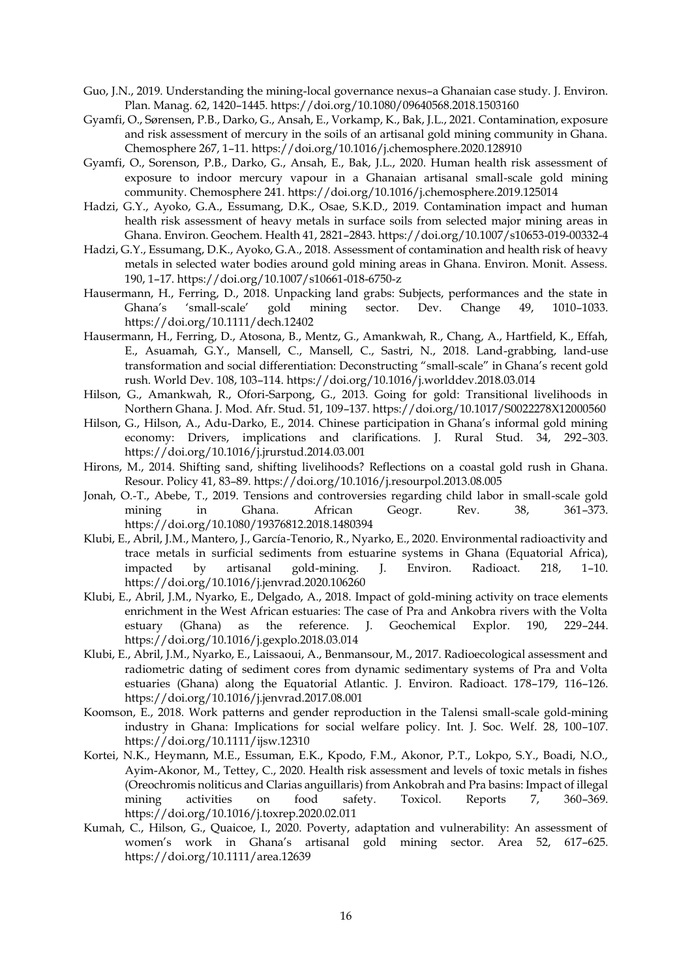- Guo, J.N., 2019. Understanding the mining-local governance nexus–a Ghanaian case study. J. Environ. Plan. Manag. 62, 1420–1445. https://doi.org/10.1080/09640568.2018.1503160
- Gyamfi, O., Sørensen, P.B., Darko, G., Ansah, E., Vorkamp, K., Bak, J.L., 2021. Contamination, exposure and risk assessment of mercury in the soils of an artisanal gold mining community in Ghana. Chemosphere 267, 1–11. https://doi.org/10.1016/j.chemosphere.2020.128910
- Gyamfi, O., Sorenson, P.B., Darko, G., Ansah, E., Bak, J.L., 2020. Human health risk assessment of exposure to indoor mercury vapour in a Ghanaian artisanal small-scale gold mining community. Chemosphere 241. https://doi.org/10.1016/j.chemosphere.2019.125014
- Hadzi, G.Y., Ayoko, G.A., Essumang, D.K., Osae, S.K.D., 2019. Contamination impact and human health risk assessment of heavy metals in surface soils from selected major mining areas in Ghana. Environ. Geochem. Health 41, 2821–2843. https://doi.org/10.1007/s10653-019-00332-4
- Hadzi, G.Y., Essumang, D.K., Ayoko, G.A., 2018. Assessment of contamination and health risk of heavy metals in selected water bodies around gold mining areas in Ghana. Environ. Monit. Assess. 190, 1–17. https://doi.org/10.1007/s10661-018-6750-z
- Hausermann, H., Ferring, D., 2018. Unpacking land grabs: Subjects, performances and the state in Ghana's 'small-scale' gold mining sector. Dev. Change 49, 1010–1033. https://doi.org/10.1111/dech.12402
- Hausermann, H., Ferring, D., Atosona, B., Mentz, G., Amankwah, R., Chang, A., Hartfield, K., Effah, E., Asuamah, G.Y., Mansell, C., Mansell, C., Sastri, N., 2018. Land-grabbing, land-use transformation and social differentiation: Deconstructing "small-scale" in Ghana's recent gold rush. World Dev. 108, 103–114. https://doi.org/10.1016/j.worlddev.2018.03.014
- Hilson, G., Amankwah, R., Ofori-Sarpong, G., 2013. Going for gold: Transitional livelihoods in Northern Ghana. J. Mod. Afr. Stud. 51, 109–137. https://doi.org/10.1017/S0022278X12000560
- Hilson, G., Hilson, A., Adu-Darko, E., 2014. Chinese participation in Ghana's informal gold mining economy: Drivers, implications and clarifications. J. Rural Stud. 34, 292–303. https://doi.org/10.1016/j.jrurstud.2014.03.001
- Hirons, M., 2014. Shifting sand, shifting livelihoods? Reflections on a coastal gold rush in Ghana. Resour. Policy 41, 83–89. https://doi.org/10.1016/j.resourpol.2013.08.005
- Jonah, O.-T., Abebe, T., 2019. Tensions and controversies regarding child labor in small-scale gold mining in Ghana. African Geogr. Rev. 38, 361–373. https://doi.org/10.1080/19376812.2018.1480394
- Klubi, E., Abril, J.M., Mantero, J., García-Tenorio, R., Nyarko, E., 2020. Environmental radioactivity and trace metals in surficial sediments from estuarine systems in Ghana (Equatorial Africa), impacted by artisanal gold-mining. J. Environ. Radioact. 218, 1–10. https://doi.org/10.1016/j.jenvrad.2020.106260
- Klubi, E., Abril, J.M., Nyarko, E., Delgado, A., 2018. Impact of gold-mining activity on trace elements enrichment in the West African estuaries: The case of Pra and Ankobra rivers with the Volta estuary (Ghana) as the reference. J. Geochemical Explor. 190, 229–244. https://doi.org/10.1016/j.gexplo.2018.03.014
- Klubi, E., Abril, J.M., Nyarko, E., Laissaoui, A., Benmansour, M., 2017. Radioecological assessment and radiometric dating of sediment cores from dynamic sedimentary systems of Pra and Volta estuaries (Ghana) along the Equatorial Atlantic. J. Environ. Radioact. 178–179, 116–126. https://doi.org/10.1016/j.jenvrad.2017.08.001
- Koomson, E., 2018. Work patterns and gender reproduction in the Talensi small-scale gold-mining industry in Ghana: Implications for social welfare policy. Int. J. Soc. Welf. 28, 100–107. https://doi.org/10.1111/ijsw.12310
- Kortei, N.K., Heymann, M.E., Essuman, E.K., Kpodo, F.M., Akonor, P.T., Lokpo, S.Y., Boadi, N.O., Ayim-Akonor, M., Tettey, C., 2020. Health risk assessment and levels of toxic metals in fishes (Oreochromis noliticus and Clarias anguillaris) from Ankobrah and Pra basins: Impact of illegal mining activities on food safety. Toxicol. Reports 7, 360–369. https://doi.org/10.1016/j.toxrep.2020.02.011
- Kumah, C., Hilson, G., Quaicoe, I., 2020. Poverty, adaptation and vulnerability: An assessment of women's work in Ghana's artisanal gold mining sector. Area 52, 617–625. https://doi.org/10.1111/area.12639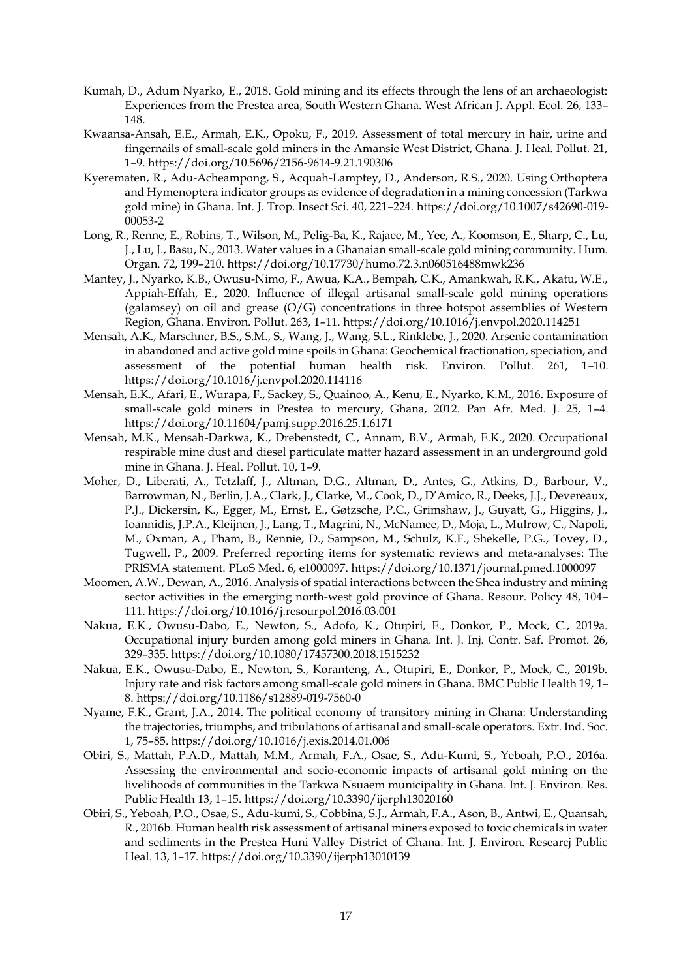- Kumah, D., Adum Nyarko, E., 2018. Gold mining and its effects through the lens of an archaeologist: Experiences from the Prestea area, South Western Ghana. West African J. Appl. Ecol. 26, 133– 148.
- Kwaansa-Ansah, E.E., Armah, E.K., Opoku, F., 2019. Assessment of total mercury in hair, urine and fingernails of small-scale gold miners in the Amansie West District, Ghana. J. Heal. Pollut. 21, 1–9. https://doi.org/10.5696/2156-9614-9.21.190306
- Kyerematen, R., Adu-Acheampong, S., Acquah-Lamptey, D., Anderson, R.S., 2020. Using Orthoptera and Hymenoptera indicator groups as evidence of degradation in a mining concession (Tarkwa gold mine) in Ghana. Int. J. Trop. Insect Sci. 40, 221–224. https://doi.org/10.1007/s42690-019- 00053-2
- Long, R., Renne, E., Robins, T., Wilson, M., Pelig-Ba, K., Rajaee, M., Yee, A., Koomson, E., Sharp, C., Lu, J., Lu, J., Basu, N., 2013. Water values in a Ghanaian small-scale gold mining community. Hum. Organ. 72, 199–210. https://doi.org/10.17730/humo.72.3.n060516488mwk236
- Mantey, J., Nyarko, K.B., Owusu-Nimo, F., Awua, K.A., Bempah, C.K., Amankwah, R.K., Akatu, W.E., Appiah-Effah, E., 2020. Influence of illegal artisanal small-scale gold mining operations (galamsey) on oil and grease (O/G) concentrations in three hotspot assemblies of Western Region, Ghana. Environ. Pollut. 263, 1–11. https://doi.org/10.1016/j.envpol.2020.114251
- Mensah, A.K., Marschner, B.S., S.M., S., Wang, J., Wang, S.L., Rinklebe, J., 2020. Arsenic contamination in abandoned and active gold mine spoils in Ghana: Geochemical fractionation, speciation, and assessment of the potential human health risk. Environ. Pollut. 261, 1–10. https://doi.org/10.1016/j.envpol.2020.114116
- Mensah, E.K., Afari, E., Wurapa, F., Sackey, S., Quainoo, A., Kenu, E., Nyarko, K.M., 2016. Exposure of small-scale gold miners in Prestea to mercury, Ghana, 2012. Pan Afr. Med. J. 25, 1–4. https://doi.org/10.11604/pamj.supp.2016.25.1.6171
- Mensah, M.K., Mensah-Darkwa, K., Drebenstedt, C., Annam, B.V., Armah, E.K., 2020. Occupational respirable mine dust and diesel particulate matter hazard assessment in an underground gold mine in Ghana. J. Heal. Pollut. 10, 1–9.
- Moher, D., Liberati, A., Tetzlaff, J., Altman, D.G., Altman, D., Antes, G., Atkins, D., Barbour, V., Barrowman, N., Berlin, J.A., Clark, J., Clarke, M., Cook, D., D'Amico, R., Deeks, J.J., Devereaux, P.J., Dickersin, K., Egger, M., Ernst, E., Gøtzsche, P.C., Grimshaw, J., Guyatt, G., Higgins, J., Ioannidis, J.P.A., Kleijnen, J., Lang, T., Magrini, N., McNamee, D., Moja, L., Mulrow, C., Napoli, M., Oxman, A., Pham, B., Rennie, D., Sampson, M., Schulz, K.F., Shekelle, P.G., Tovey, D., Tugwell, P., 2009. Preferred reporting items for systematic reviews and meta-analyses: The PRISMA statement. PLoS Med. 6, e1000097. https://doi.org/10.1371/journal.pmed.1000097
- Moomen, A.W., Dewan, A., 2016. Analysis of spatial interactions between the Shea industry and mining sector activities in the emerging north-west gold province of Ghana. Resour. Policy 48, 104– 111. https://doi.org/10.1016/j.resourpol.2016.03.001
- Nakua, E.K., Owusu-Dabo, E., Newton, S., Adofo, K., Otupiri, E., Donkor, P., Mock, C., 2019a. Occupational injury burden among gold miners in Ghana. Int. J. Inj. Contr. Saf. Promot. 26, 329–335. https://doi.org/10.1080/17457300.2018.1515232
- Nakua, E.K., Owusu-Dabo, E., Newton, S., Koranteng, A., Otupiri, E., Donkor, P., Mock, C., 2019b. Injury rate and risk factors among small-scale gold miners in Ghana. BMC Public Health 19, 1– 8. https://doi.org/10.1186/s12889-019-7560-0
- Nyame, F.K., Grant, J.A., 2014. The political economy of transitory mining in Ghana: Understanding the trajectories, triumphs, and tribulations of artisanal and small-scale operators. Extr. Ind. Soc. 1, 75–85. https://doi.org/10.1016/j.exis.2014.01.006
- Obiri, S., Mattah, P.A.D., Mattah, M.M., Armah, F.A., Osae, S., Adu-Kumi, S., Yeboah, P.O., 2016a. Assessing the environmental and socio-economic impacts of artisanal gold mining on the livelihoods of communities in the Tarkwa Nsuaem municipality in Ghana. Int. J. Environ. Res. Public Health 13, 1–15. https://doi.org/10.3390/ijerph13020160
- Obiri, S., Yeboah, P.O., Osae, S., Adu-kumi, S., Cobbina, S.J., Armah, F.A., Ason, B., Antwi, E., Quansah, R., 2016b. Human health risk assessment of artisanal miners exposed to toxic chemicals in water and sediments in the Prestea Huni Valley District of Ghana. Int. J. Environ. Researcj Public Heal. 13, 1–17. https://doi.org/10.3390/ijerph13010139